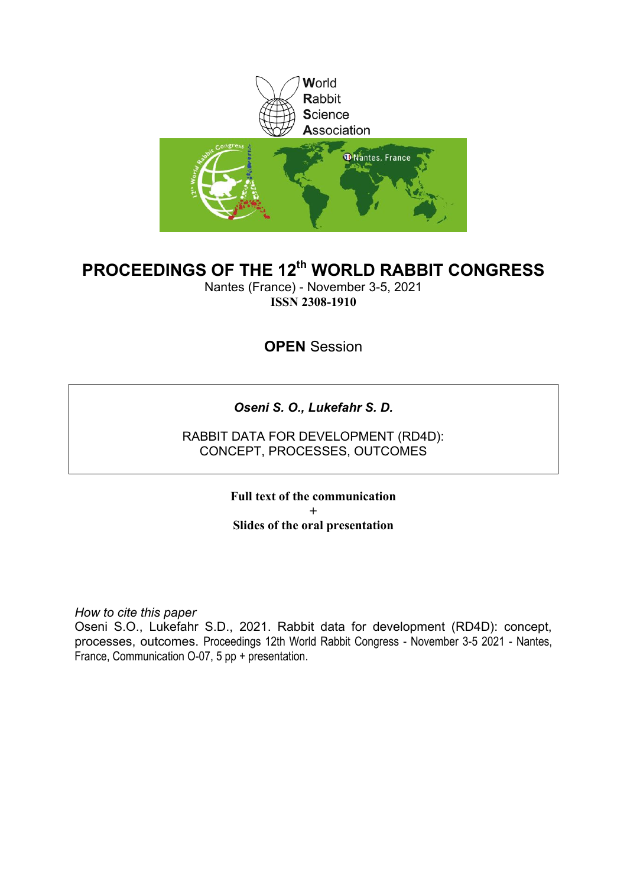

#### **PROCEEDINGS OF THE 12th WORLD RABBIT CONGRESS**

Nantes (France) - November 3-5, 2021 **ISSN 2308-1910**

**OPEN** Session

*Oseni S. O., Lukefahr S. D.*

RABBIT DATA FOR DEVELOPMENT (RD4D): CONCEPT, PROCESSES, OUTCOMES

> **Full text of the communication + Slides of the oral presentation**

*How to cite this paper*

Oseni S.O., Lukefahr S.D., 2021. Rabbit data for development (RD4D): concept, processes, outcomes. Proceedings 12th World Rabbit Congress - November 3-5 2021 - Nantes, France, Communication O-07, 5 pp + presentation.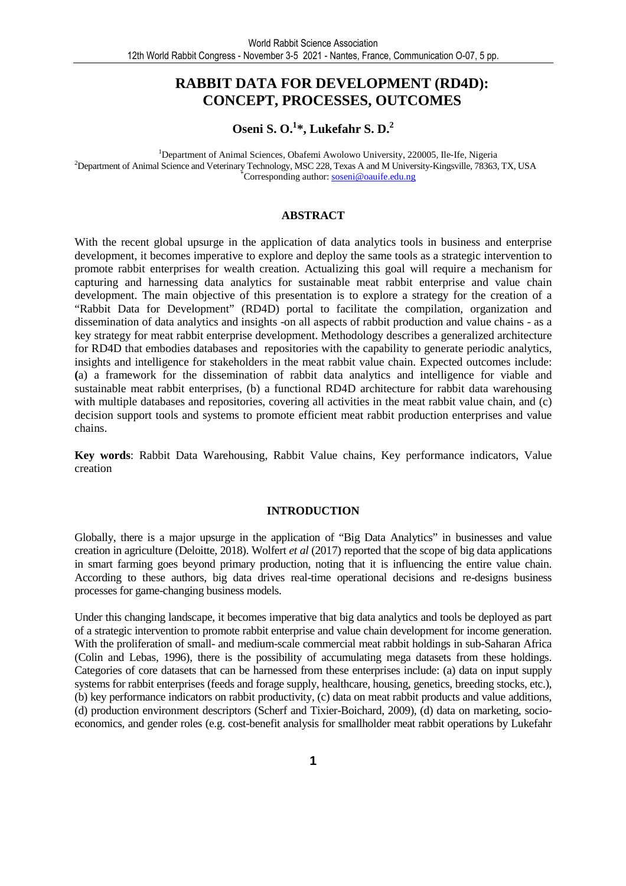#### **RABBIT DATA FOR DEVELOPMENT (RD4D): CONCEPT, PROCESSES, OUTCOMES**

#### **Oseni S. O.<sup>1</sup> \*, Lukefahr S. D.<sup>2</sup>**

<sup>1</sup>Department of Animal Sciences, Obafemi Awolowo University, 220005, Ile-Ife, Nigeria <sup>2</sup>Department of Animal Science and Veterinary Technology, MSC 228, Texas A and M University-Kingsville, 78363, TX, USA \*Corresponding author: soseni@oauife.edu.ng

#### **ABSTRACT**

With the recent global upsurge in the application of data analytics tools in business and enterprise development, it becomes imperative to explore and deploy the same tools as a strategic intervention to promote rabbit enterprises for wealth creation. Actualizing this goal will require a mechanism for capturing and harnessing data analytics for sustainable meat rabbit enterprise and value chain development. The main objective of this presentation is to explore a strategy for the creation of a "Rabbit Data for Development" (RD4D) portal to facilitate the compilation, organization and dissemination of data analytics and insights -on all aspects of rabbit production and value chains - as a key strategy for meat rabbit enterprise development. Methodology describes a generalized architecture for RD4D that embodies databases and repositories with the capability to generate periodic analytics, insights and intelligence for stakeholders in the meat rabbit value chain. Expected outcomes include: **(**a) a framework for the dissemination of rabbit data analytics and intelligence for viable and sustainable meat rabbit enterprises, (b) a functional RD4D architecture for rabbit data warehousing with multiple databases and repositories, covering all activities in the meat rabbit value chain, and (c) decision support tools and systems to promote efficient meat rabbit production enterprises and value chains.

**Key words**: Rabbit Data Warehousing, Rabbit Value chains, Key performance indicators, Value creation

#### **INTRODUCTION**

Globally, there is a major upsurge in the application of "Big Data Analytics" in businesses and value creation in agriculture (Deloitte, 2018). Wolfert *et al* (2017) reported that the scope of big data applications in smart farming goes beyond primary production, noting that it is influencing the entire value chain. According to these authors, big data drives real-time operational decisions and re-designs business processes for game-changing business models.

Under this changing landscape, it becomes imperative that big data analytics and tools be deployed as part of a strategic intervention to promote rabbit enterprise and value chain development for income generation. With the proliferation of small- and medium-scale commercial meat rabbit holdings in sub-Saharan Africa (Colin and Lebas, 1996), there is the possibility of accumulating mega datasets from these holdings. Categories of core datasets that can be harnessed from these enterprises include: (a) data on input supply systems for rabbit enterprises (feeds and forage supply, healthcare, housing, genetics, breeding stocks, etc.), (b) key performance indicators on rabbit productivity, (c) data on meat rabbit products and value additions, (d) production environment descriptors (Scherf and Tixier-Boichard, 2009), (d) data on marketing, socioeconomics, and gender roles (e.g. cost-benefit analysis for smallholder meat rabbit operations by Lukefahr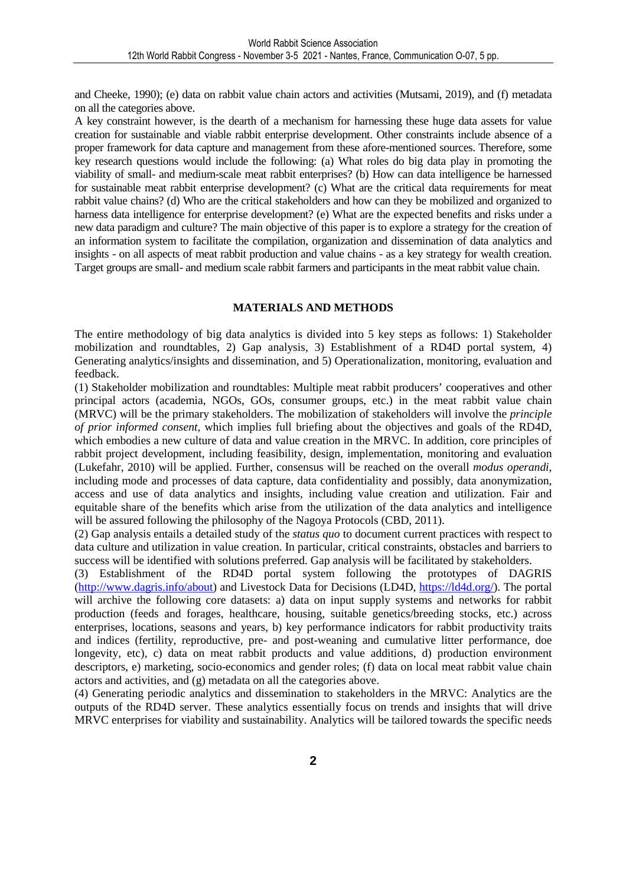and Cheeke, 1990); (e) data on rabbit value chain actors and activities (Mutsami, 2019), and (f) metadata on all the categories above.

A key constraint however, is the dearth of a mechanism for harnessing these huge data assets for value creation for sustainable and viable rabbit enterprise development. Other constraints include absence of a proper framework for data capture and management from these afore-mentioned sources. Therefore, some key research questions would include the following: (a) What roles do big data play in promoting the viability of small- and medium-scale meat rabbit enterprises? (b) How can data intelligence be harnessed for sustainable meat rabbit enterprise development? (c) What are the critical data requirements for meat rabbit value chains? (d) Who are the critical stakeholders and how can they be mobilized and organized to harness data intelligence for enterprise development? (e) What are the expected benefits and risks under a new data paradigm and culture? The main objective of this paper is to explore a strategy for the creation of an information system to facilitate the compilation, organization and dissemination of data analytics and insights - on all aspects of meat rabbit production and value chains - as a key strategy for wealth creation. Target groups are small- and medium scale rabbit farmers and participants in the meat rabbit value chain.

#### **MATERIALS AND METHODS**

The entire methodology of big data analytics is divided into 5 key steps as follows: 1) Stakeholder mobilization and roundtables, 2) Gap analysis, 3) Establishment of a RD4D portal system, 4) Generating analytics/insights and dissemination, and 5) Operationalization, monitoring, evaluation and feedback.

(1) Stakeholder mobilization and roundtables: Multiple meat rabbit producers' cooperatives and other principal actors (academia, NGOs, GOs, consumer groups, etc.) in the meat rabbit value chain (MRVC) will be the primary stakeholders. The mobilization of stakeholders will involve the *principle of prior informed consent,* which implies full briefing about the objectives and goals of the RD4D, which embodies a new culture of data and value creation in the MRVC. In addition, core principles of rabbit project development, including feasibility, design, implementation, monitoring and evaluation (Lukefahr, 2010) will be applied. Further, consensus will be reached on the overall *modus operandi*, including mode and processes of data capture, data confidentiality and possibly, data anonymization, access and use of data analytics and insights, including value creation and utilization. Fair and equitable share of the benefits which arise from the utilization of the data analytics and intelligence will be assured following the philosophy of the Nagoya Protocols (CBD, 2011).

(2) Gap analysis entails a detailed study of the *status quo* to document current practices with respect to data culture and utilization in value creation. In particular, critical constraints, obstacles and barriers to success will be identified with solutions preferred. Gap analysis will be facilitated by stakeholders.

(3) Establishment of the RD4D portal system following the prototypes of DAGRIS (http://www.dagris.info/about) and Livestock Data for Decisions (LD4D, https://ld4d.org/). The portal will archive the following core datasets: a) data on input supply systems and networks for rabbit production (feeds and forages, healthcare, housing, suitable genetics/breeding stocks, etc.) across enterprises, locations, seasons and years, b) key performance indicators for rabbit productivity traits and indices (fertility, reproductive, pre- and post-weaning and cumulative litter performance, doe longevity, etc), c) data on meat rabbit products and value additions, d) production environment descriptors, e) marketing, socio-economics and gender roles; (f) data on local meat rabbit value chain actors and activities, and (g) metadata on all the categories above.

(4) Generating periodic analytics and dissemination to stakeholders in the MRVC: Analytics are the outputs of the RD4D server. These analytics essentially focus on trends and insights that will drive MRVC enterprises for viability and sustainability. Analytics will be tailored towards the specific needs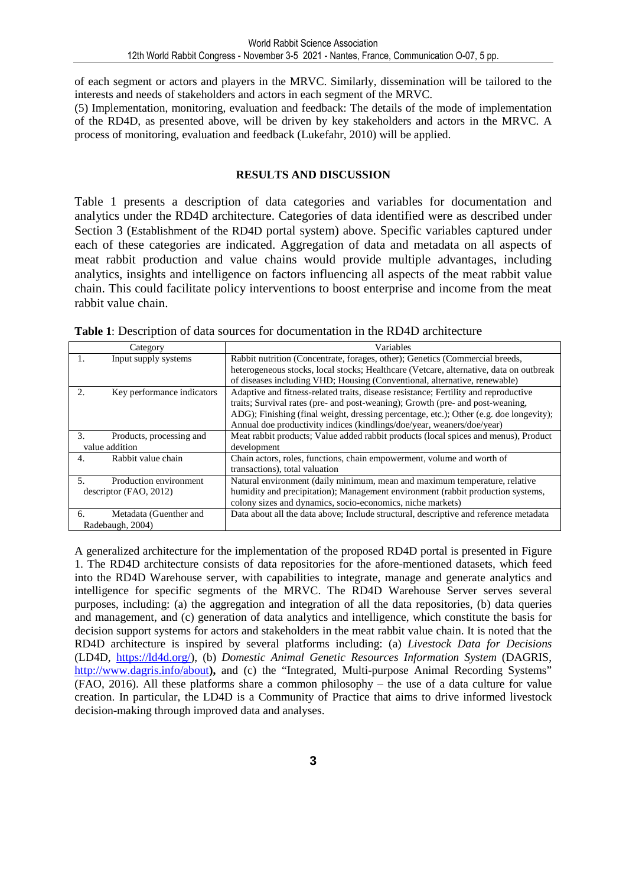of each segment or actors and players in the MRVC. Similarly, dissemination will be tailored to the interests and needs of stakeholders and actors in each segment of the MRVC.

(5) Implementation, monitoring, evaluation and feedback: The details of the mode of implementation of the RD4D, as presented above, will be driven by key stakeholders and actors in the MRVC. A process of monitoring, evaluation and feedback (Lukefahr, 2010) will be applied.

#### **RESULTS AND DISCUSSION**

Table 1 presents a description of data categories and variables for documentation and analytics under the RD4D architecture. Categories of data identified were as described under Section 3 (Establishment of the RD4D portal system) above. Specific variables captured under each of these categories are indicated. Aggregation of data and metadata on all aspects of meat rabbit production and value chains would provide multiple advantages, including analytics, insights and intelligence on factors influencing all aspects of the meat rabbit value chain. This could facilitate policy interventions to boost enterprise and income from the meat rabbit value chain.

| Category                         | Variables                                                                              |
|----------------------------------|----------------------------------------------------------------------------------------|
| 1.<br>Input supply systems       | Rabbit nutrition (Concentrate, forages, other); Genetics (Commercial breeds,           |
|                                  | heterogeneous stocks, local stocks; Healthcare (Vetcare, alternative, data on outbreak |
|                                  | of diseases including VHD; Housing (Conventional, alternative, renewable)              |
| 2.<br>Key performance indicators | Adaptive and fitness-related traits, disease resistance; Fertility and reproductive    |
|                                  | traits; Survival rates (pre- and post-weaning); Growth (pre- and post-weaning,         |
|                                  | ADG); Finishing (final weight, dressing percentage, etc.); Other (e.g. doe longevity); |
|                                  | Annual doe productivity indices (kindlings/doe/year, weaners/doe/year)                 |
| 3.<br>Products, processing and   | Meat rabbit products; Value added rabbit products (local spices and menus), Product    |
| value addition                   | development                                                                            |
| Rabbit value chain<br>4.         | Chain actors, roles, functions, chain empowerment, volume and worth of                 |
|                                  | transactions), total valuation                                                         |
| Production environment<br>5.     | Natural environment (daily minimum, mean and maximum temperature, relative             |
| descriptor (FAO, 2012)           | humidity and precipitation); Management environment (rabbit production systems,        |
|                                  | colony sizes and dynamics, socio-economics, niche markets)                             |
| Metadata (Guenther and<br>6.     | Data about all the data above; Include structural, descriptive and reference metadata  |
| Radebaugh, 2004)                 |                                                                                        |

| <b>Table 1:</b> Description of data sources for documentation in the RD4D architecture |  |
|----------------------------------------------------------------------------------------|--|
|----------------------------------------------------------------------------------------|--|

A generalized architecture for the implementation of the proposed RD4D portal is presented in Figure 1. The RD4D architecture consists of data repositories for the afore-mentioned datasets, which feed into the RD4D Warehouse server, with capabilities to integrate, manage and generate analytics and intelligence for specific segments of the MRVC. The RD4D Warehouse Server serves several purposes, including: (a) the aggregation and integration of all the data repositories, (b) data queries and management, and (c) generation of data analytics and intelligence, which constitute the basis for decision support systems for actors and stakeholders in the meat rabbit value chain. It is noted that the RD4D architecture is inspired by several platforms including: (a) *Livestock Data for Decisions* (LD4D, https://ld4d.org/), (b) *Domestic Animal Genetic Resources Information System* (DAGRIS, http://www.dagris.info/about), and (c) the "Integrated, Multi-purpose Animal Recording Systems" (FAO, 2016). All these platforms share a common philosophy – the use of a data culture for value creation. In particular, the LD4D is a Community of Practice that aims to drive informed livestock decision-making through improved data and analyses.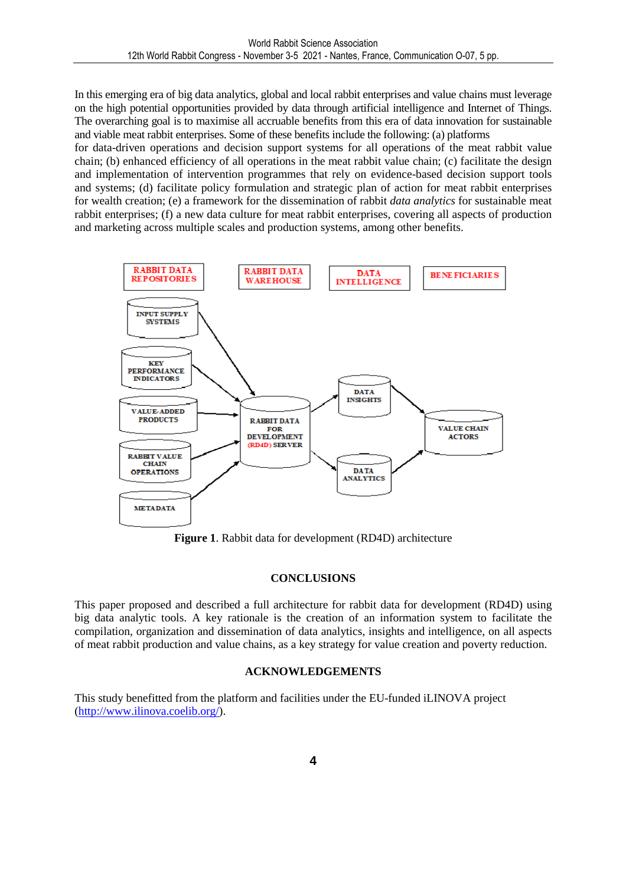In this emerging era of big data analytics, global and local rabbit enterprises and value chains must leverage on the high potential opportunities provided by data through artificial intelligence and Internet of Things. The overarching goal is to maximise all accruable benefits from this era of data innovation for sustainable and viable meat rabbit enterprises. Some of these benefits include the following: (a) platforms

for data-driven operations and decision support systems for all operations of the meat rabbit value chain; (b) enhanced efficiency of all operations in the meat rabbit value chain; (c) facilitate the design and implementation of intervention programmes that rely on evidence-based decision support tools and systems; (d) facilitate policy formulation and strategic plan of action for meat rabbit enterprises for wealth creation; (e) a framework for the dissemination of rabbit *data analytics* for sustainable meat rabbit enterprises; (f) a new data culture for meat rabbit enterprises, covering all aspects of production and marketing across multiple scales and production systems, among other benefits.



**Figure 1**. Rabbit data for development (RD4D) architecture

#### **CONCLUSIONS**

This paper proposed and described a full architecture for rabbit data for development (RD4D) using big data analytic tools. A key rationale is the creation of an information system to facilitate the compilation, organization and dissemination of data analytics, insights and intelligence, on all aspects of meat rabbit production and value chains, as a key strategy for value creation and poverty reduction.

#### **ACKNOWLEDGEMENTS**

This study benefitted from the platform and facilities under the EU-funded iLINOVA project (http://www.ilinova.coelib.org/).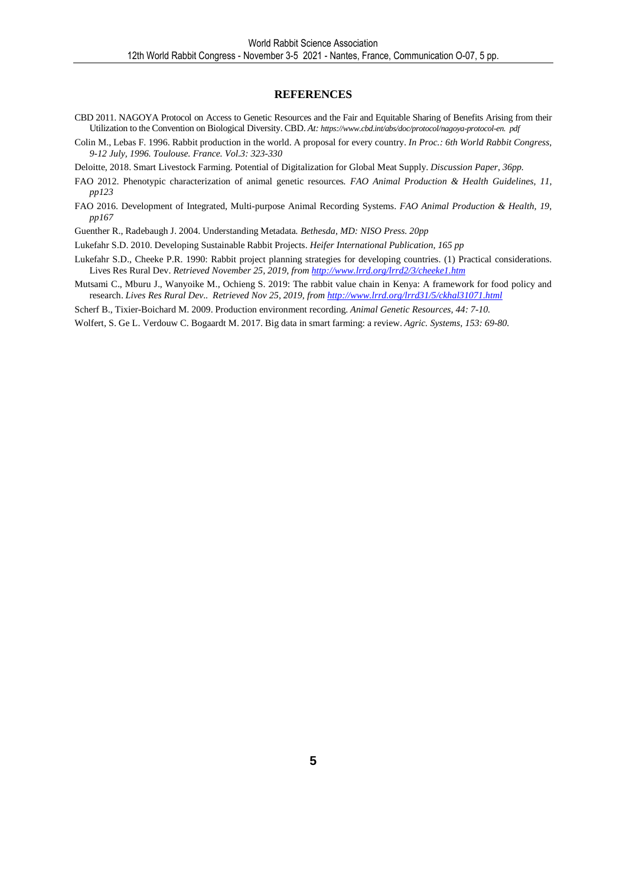#### **REFERENCES**

- CBD 2011. NAGOYA Protocol on Access to Genetic Resources and the Fair and Equitable Sharing of Benefits Arising from their Utilization to the Convention on Biological Diversity. CBD. *At: https://www.cbd.int/abs/doc/protocol/nagoya-protocol-en. pdf*
- Colin M., Lebas F. 1996. Rabbit production in the world. A proposal for every country. *In Proc.: 6th World Rabbit Congress, 9-12 July, 1996. Toulouse. France. Vol.3: 323-330*

Deloitte, 2018. Smart Livestock Farming. Potential of Digitalization for Global Meat Supply. *Discussion Paper, 36pp.*

- FAO 2012. Phenotypic characterization of animal genetic resources*. FAO Animal Production & Health Guidelines, 11, pp123*
- FAO 2016. Development of Integrated, Multi-purpose Animal Recording Systems. *FAO Animal Production & Health, 19, pp167*

Guenther R., Radebaugh J. 2004. Understanding Metadata*. Bethesda, MD: NISO Press. 20pp*

Lukefahr S.D. 2010. Developing Sustainable Rabbit Projects. *Heifer International Publication, 165 pp*

- Lukefahr S.D., Cheeke P.R. 1990: Rabbit project planning strategies for developing countries. (1) Practical considerations. Lives Res Rural Dev. *Retrieved November 25, 2019, from http://www.lrrd.org/lrrd2/3/cheeke1.htm*
- Mutsami C., Mburu J., Wanyoike M., Ochieng S. 2019: The rabbit value chain in Kenya: A framework for food policy and research. *Lives Res Rural Dev*.. *Retrieved Nov 25, 2019, from http://www.lrrd.org/lrrd31/5/ckhal31071.html*

Scherf B., Tixier-Boichard M. 2009. Production environment recording. *Animal Genetic Resources, 44: 7-10.* 

Wolfert, S. Ge L. Verdouw C. Bogaardt M. 2017. Big data in smart farming: a review. *Agric. Systems, 153: 69-80.*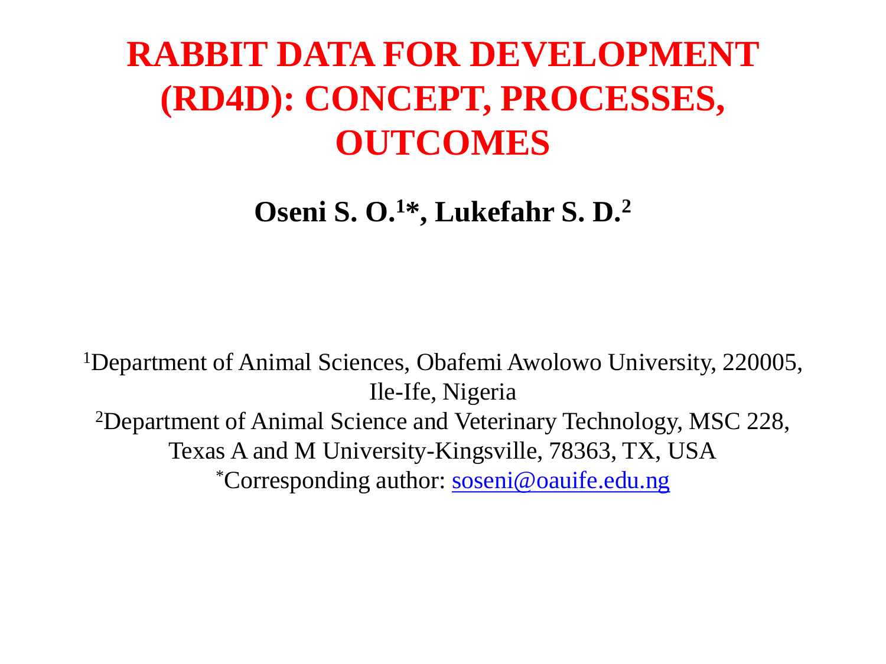#### **RABBIT DATA FOR DEVELOPMENT (RD4D): CONCEPT, PROCESSES, OUTCOMES**

**Oseni S. O.<sup>1</sup>\*, Lukefahr S. D.<sup>2</sup>**

<sup>1</sup>Department of Animal Sciences, Obafemi Awolowo University, 220005, Ile-Ife, Nigeria <sup>2</sup>Department of Animal Science and Veterinary Technology, MSC 228, Texas A and M University-Kingsville, 78363, TX, USA \*Corresponding author: [soseni@oauife.edu.ng](mailto:soseni@oauife.edu.ng)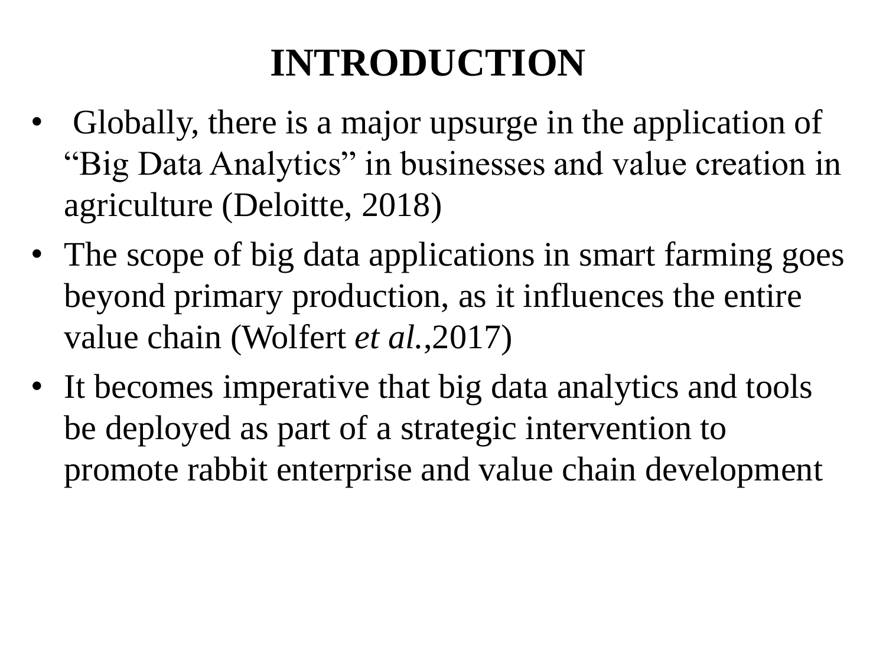- Globally, there is a major upsurge in the application of "Big Data Analytics" in businesses and value creation in agriculture (Deloitte, 2018)
- The scope of big data applications in smart farming goes beyond primary production, as it influences the entire value chain (Wolfert *et al.*,2017)
- It becomes imperative that big data analytics and tools be deployed as part of a strategic intervention to promote rabbit enterprise and value chain development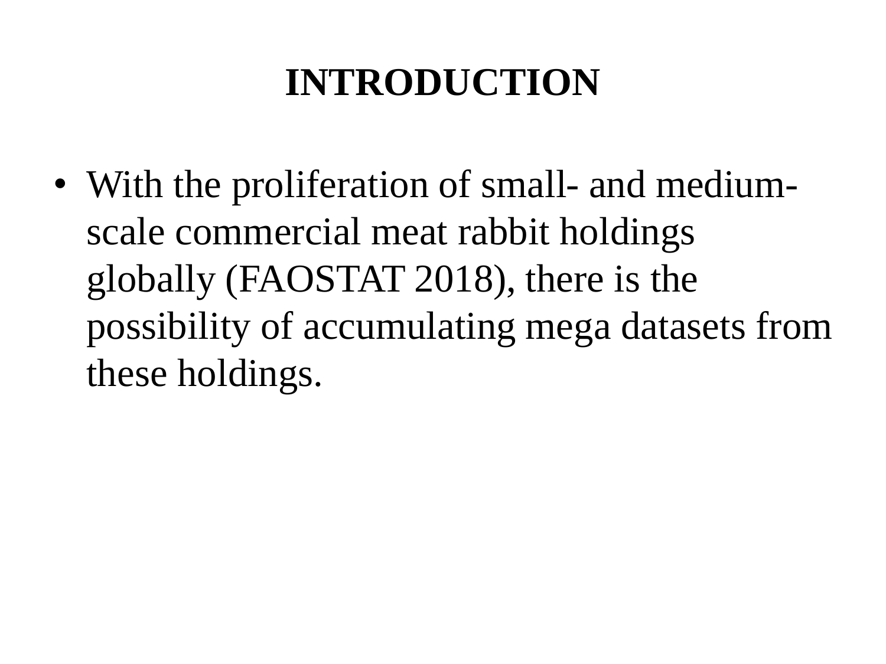• With the proliferation of small- and mediumscale commercial meat rabbit holdings globally (FAOSTAT 2018), there is the possibility of accumulating mega datasets from these holdings.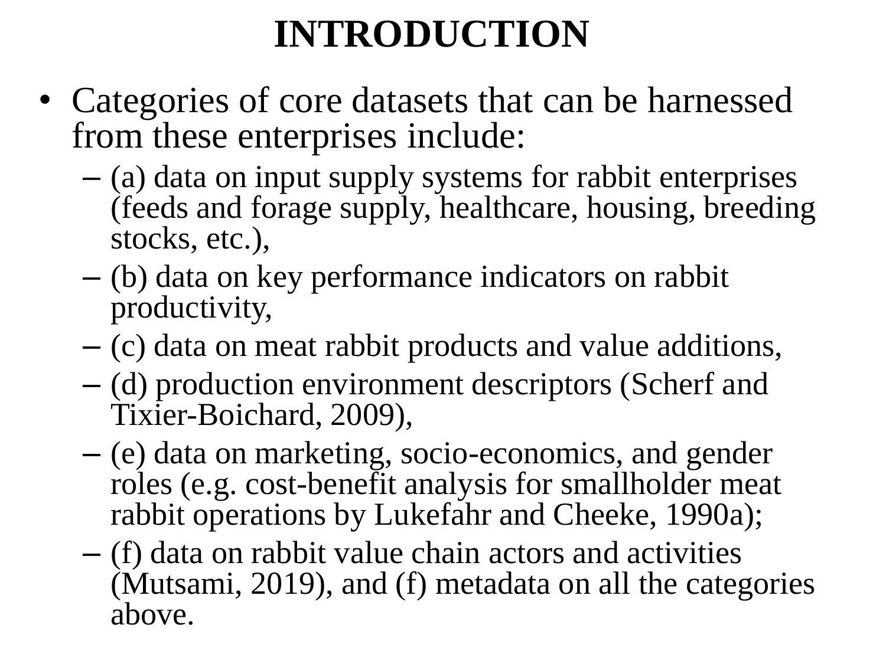- Categories of core datasets that can be harnessed from these enterprises include:
	- (a) data on input supply systems for rabbit enterprises (feeds and forage supply, healthcare, housing, breeding stocks, etc.),
	- (b) data on key performance indicators on rabbit productivity,
	- (c) data on meat rabbit products and value additions,
	- (d) production environment descriptors (Scherf and Tixier-Boichard, 2009),
	- (e) data on marketing, socio-economics, and gender roles (e.g. cost-benefit analysis for smallholder meat rabbit operations by Lukefahr and Cheeke, 1990a);
	- (f) data on rabbit value chain actors and activities (Mutsami, 2019), and (f) metadata on all the categories above.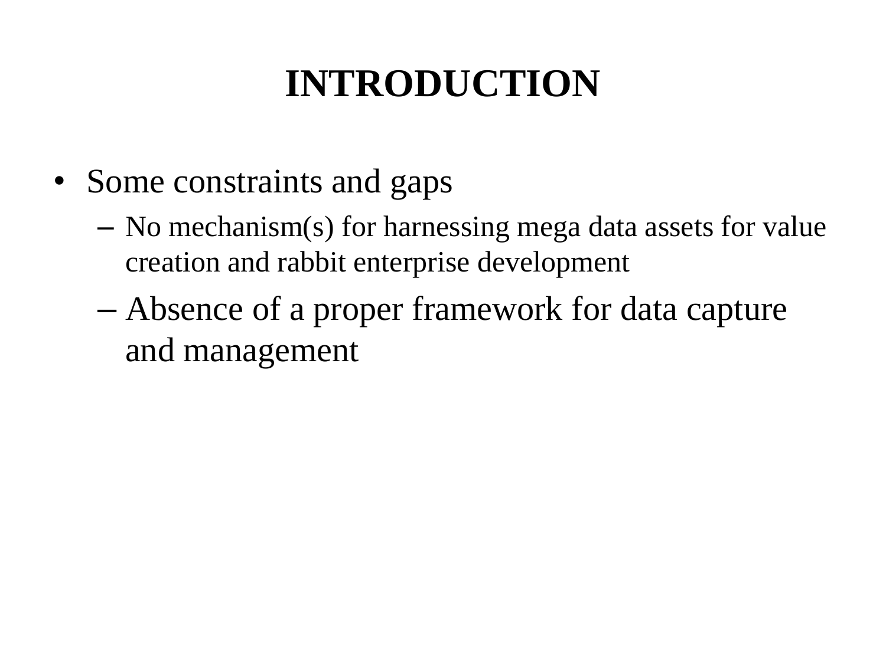- Some constraints and gaps
	- No mechanism(s) for harnessing mega data assets for value creation and rabbit enterprise development
	- Absence of a proper framework for data capture and management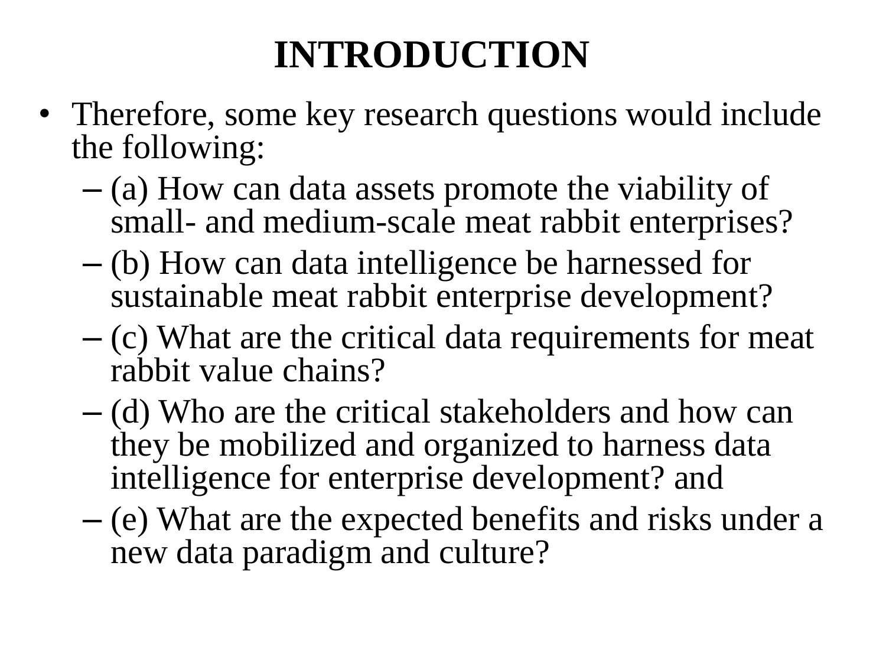- Therefore, some key research questions would include the following:
	- (a) How can data assets promote the viability of small- and medium-scale meat rabbit enterprises?
	- (b) How can data intelligence be harnessed for sustainable meat rabbit enterprise development?
	- (c) What are the critical data requirements for meat rabbit value chains?
	- (d) Who are the critical stakeholders and how can they be mobilized and organized to harness data intelligence for enterprise development? and
	- (e) What are the expected benefits and risks under a new data paradigm and culture?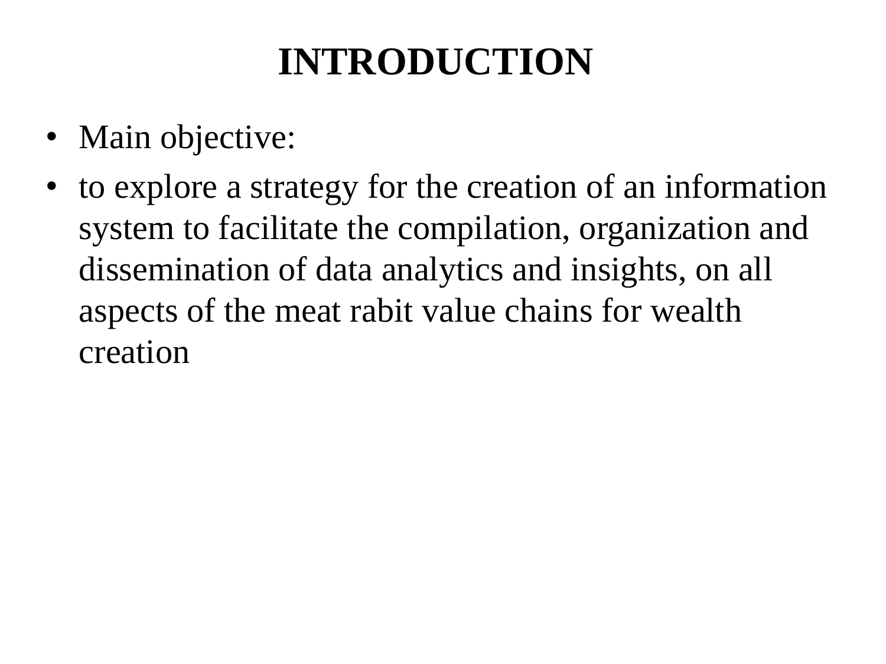- Main objective:
- to explore a strategy for the creation of an information system to facilitate the compilation, organization and dissemination of data analytics and insights, on all aspects of the meat rabit value chains for wealth creation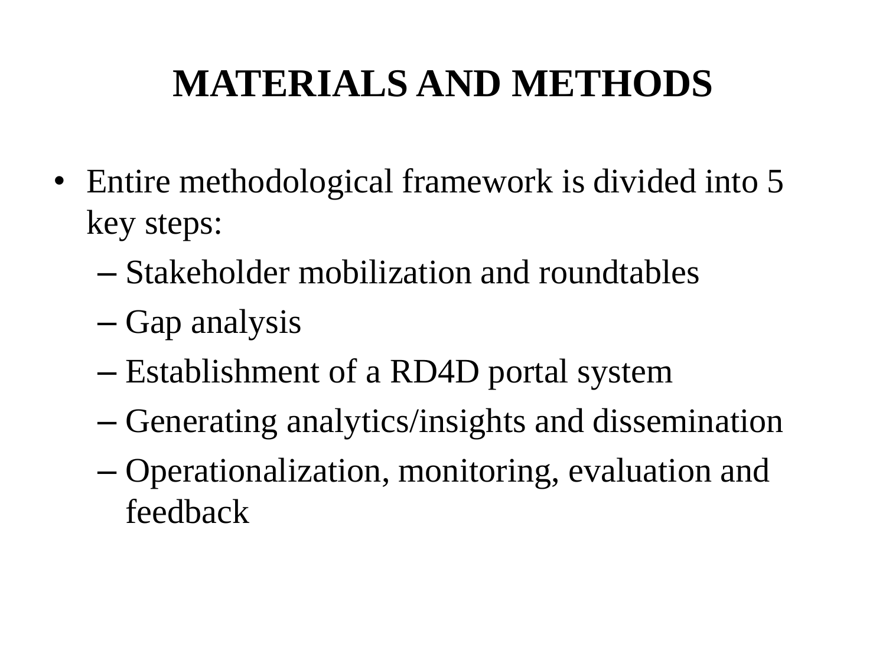## **MATERIALS AND METHODS**

- Entire methodological framework is divided into 5 key steps:
	- Stakeholder mobilization and roundtables
	- Gap analysis
	- Establishment of a RD4D portal system
	- Generating analytics/insights and dissemination
	- Operationalization, monitoring, evaluation and feedback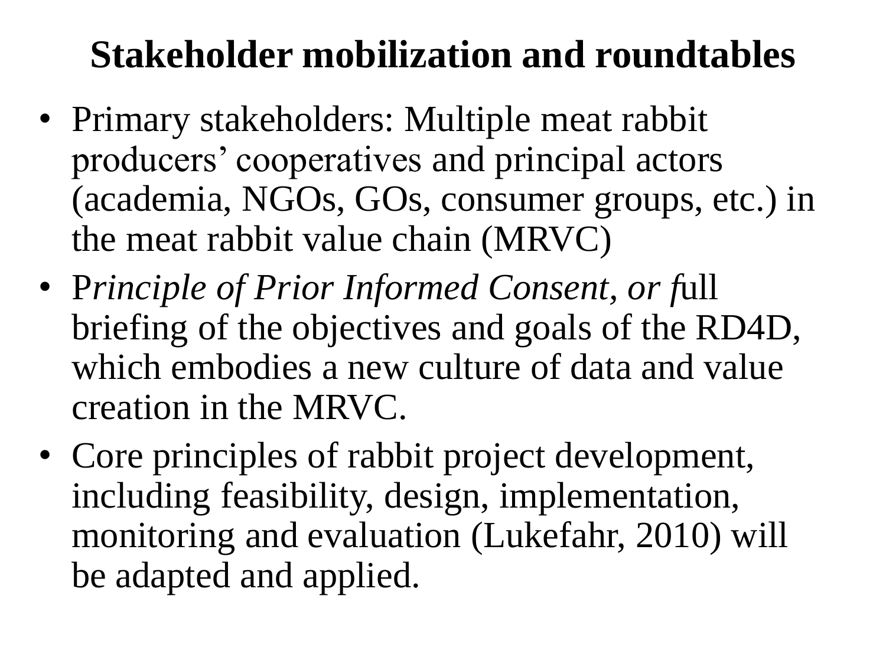#### **Stakeholder mobilization and roundtables**

- Primary stakeholders: Multiple meat rabbit producers' cooperatives and principal actors (academia, NGOs, GOs, consumer groups, etc.) in the meat rabbit value chain (MRVC)
- P*rinciple of Prior Informed Consent, or f*ull briefing of the objectives and goals of the RD4D, which embodies a new culture of data and value creation in the MRVC.
- Core principles of rabbit project development, including feasibility, design, implementation, monitoring and evaluation (Lukefahr, 2010) will be adapted and applied.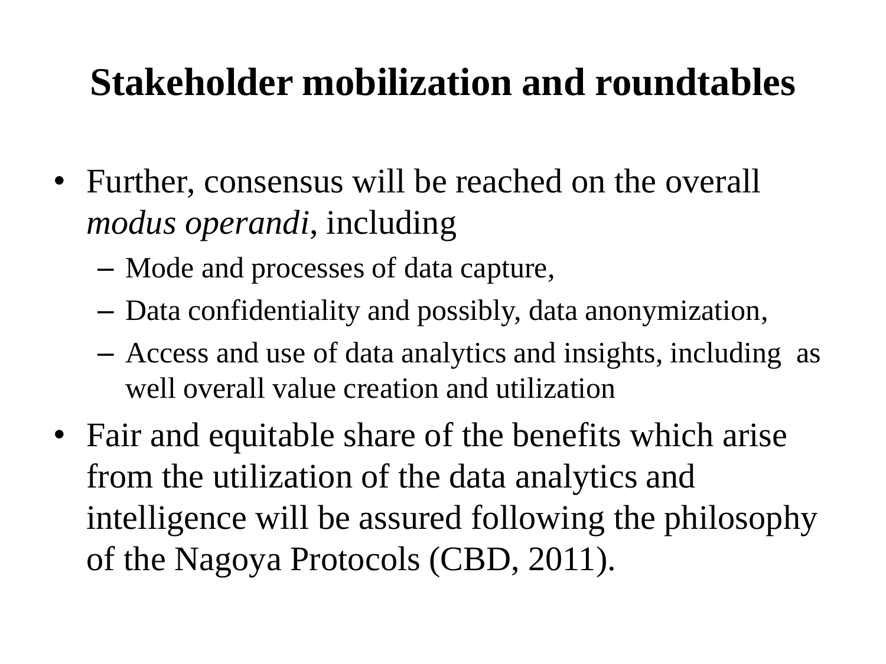#### **Stakeholder mobilization and roundtables**

- Further, consensus will be reached on the overall *modus operandi*, including
	- Mode and processes of data capture,
	- Data confidentiality and possibly, data anonymization,
	- Access and use of data analytics and insights, including as well overall value creation and utilization
- Fair and equitable share of the benefits which arise from the utilization of the data analytics and intelligence will be assured following the philosophy of the Nagoya Protocols (CBD, 2011).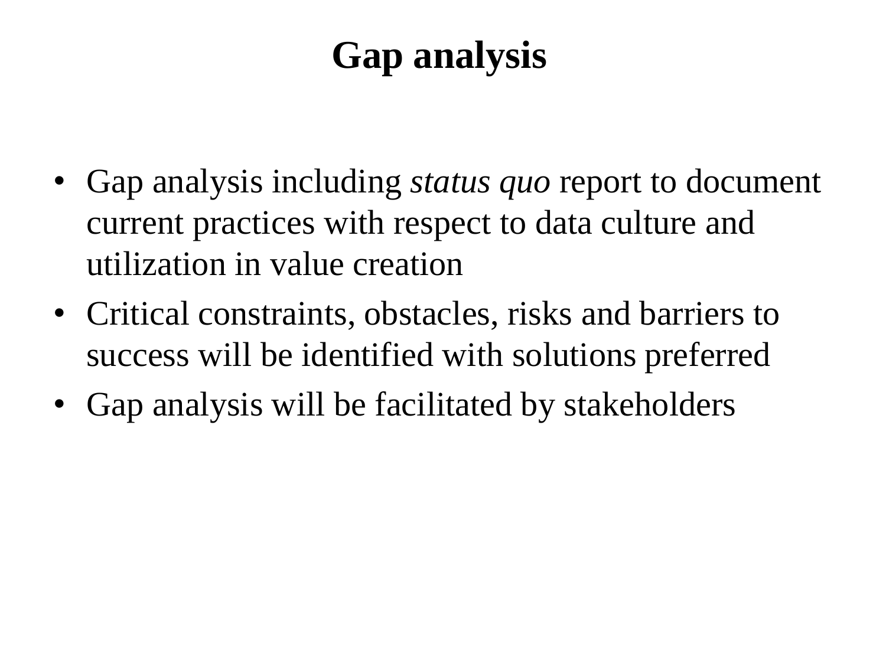### **Gap analysis**

- Gap analysis including *status quo* report to document current practices with respect to data culture and utilization in value creation
- Critical constraints, obstacles, risks and barriers to success will be identified with solutions preferred
- Gap analysis will be facilitated by stakeholders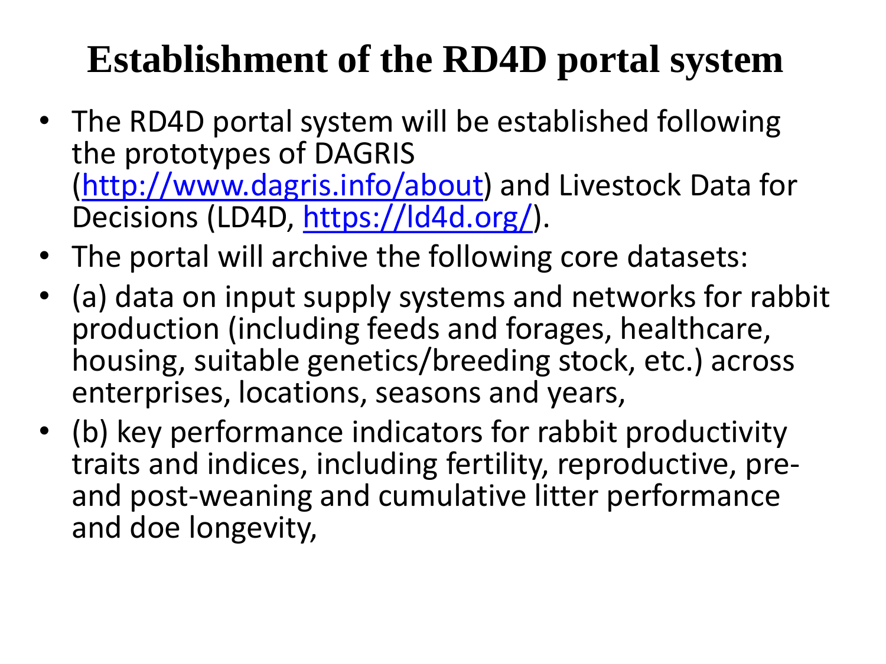### **Establishment of the RD4D portal system**

- The RD4D portal system will be established following the prototypes of DAGRIS [\(http://www.dagris.info/about\)](http://www.dagris.info/about) and Livestock Data for Decisions (LD4D, [https://ld4d.org/\)](https://ld4d.org/).
- The portal will archive the following core datasets:
- (a) data on input supply systems and networks for rabbit production (including feeds and forages, healthcare, housing, suitable genetics/breeding stock, etc.) across enterprises, locations, seasons and years,
- (b) key performance indicators for rabbit productivity traits and indices, including fertility, reproductive, preand post-weaning and cumulative litter performance and doe longevity,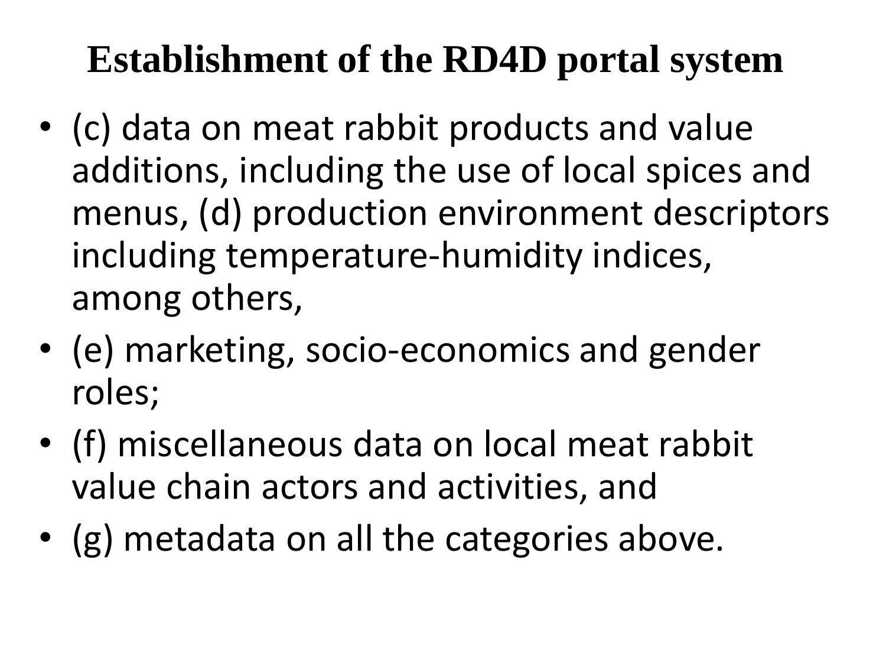### **Establishment of the RD4D portal system**

- (c) data on meat rabbit products and value additions, including the use of local spices and menus, (d) production environment descriptors including temperature-humidity indices, among others,
- (e) marketing, socio-economics and gender roles;
- (f) miscellaneous data on local meat rabbit value chain actors and activities, and
- (g) metadata on all the categories above.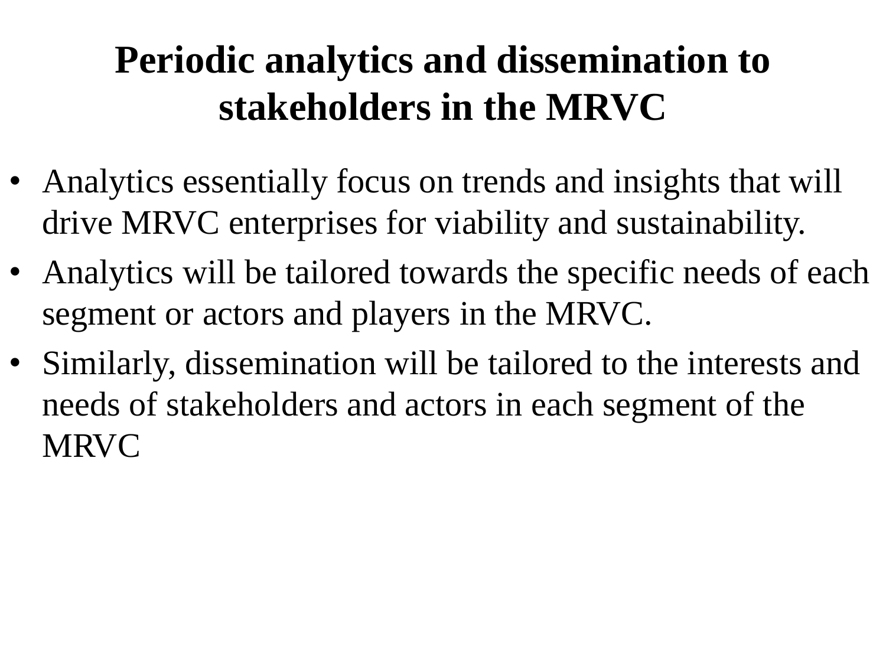### **Periodic analytics and dissemination to stakeholders in the MRVC**

- Analytics essentially focus on trends and insights that will drive MRVC enterprises for viability and sustainability.
- Analytics will be tailored towards the specific needs of each segment or actors and players in the MRVC.
- Similarly, dissemination will be tailored to the interests and needs of stakeholders and actors in each segment of the MRVC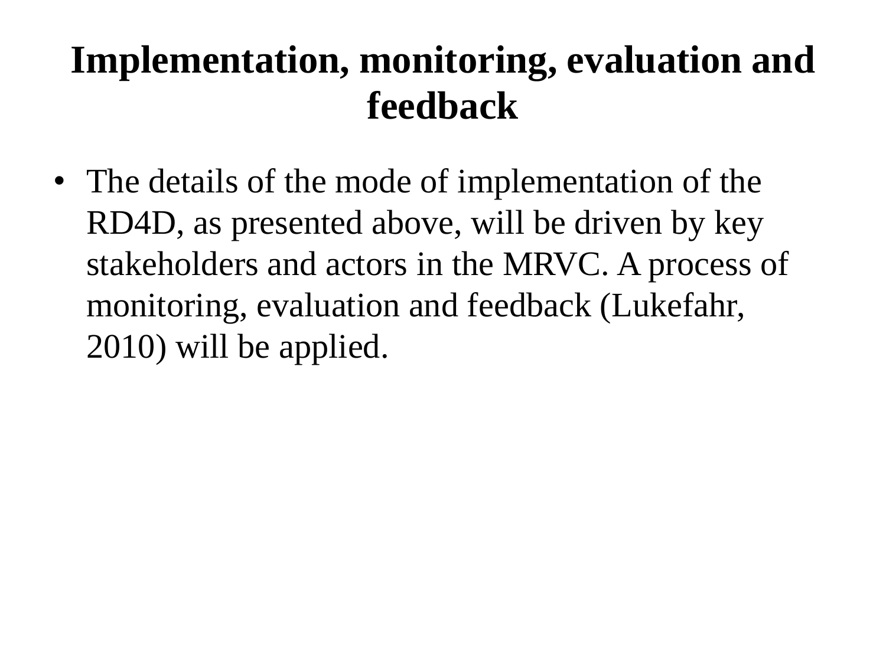#### **Implementation, monitoring, evaluation and feedback**

• The details of the mode of implementation of the RD4D, as presented above, will be driven by key stakeholders and actors in the MRVC. A process of monitoring, evaluation and feedback (Lukefahr, 2010) will be applied.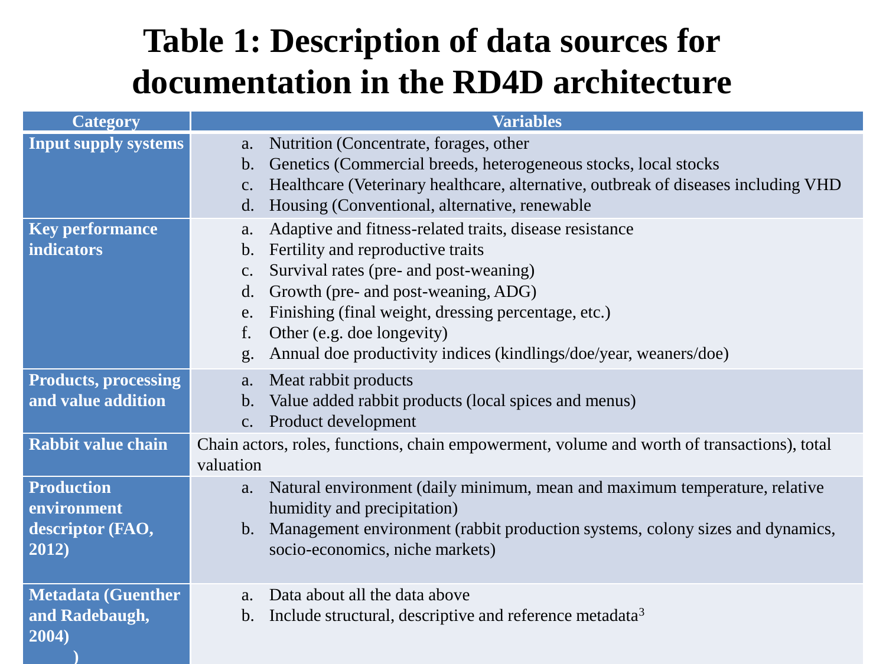#### **Table 1: Description of data sources for documentation in the RD4D architecture**

| <b>Category</b>                                   | <b>Variables</b>                                                                                                                                |
|---------------------------------------------------|-------------------------------------------------------------------------------------------------------------------------------------------------|
| <b>Input supply systems</b>                       | Nutrition (Concentrate, forages, other<br>a.<br>Genetics (Commercial breeds, heterogeneous stocks, local stocks<br>$\mathbf b$ .                |
|                                                   | Healthcare (Veterinary healthcare, alternative, outbreak of diseases including VHD<br>c.<br>Housing (Conventional, alternative, renewable<br>d. |
| <b>Key performance</b>                            | Adaptive and fitness-related traits, disease resistance<br>a.                                                                                   |
| <b>indicators</b>                                 | Fertility and reproductive traits<br>b.                                                                                                         |
|                                                   | Survival rates (pre- and post-weaning)<br>$\mathbf{C}$ .                                                                                        |
|                                                   | Growth (pre- and post-weaning, ADG)<br>d.                                                                                                       |
|                                                   | Finishing (final weight, dressing percentage, etc.)<br>e.<br>f.                                                                                 |
|                                                   | Other (e.g. doe longevity)<br>Annual doe productivity indices (kindlings/doe/year, weaners/doe)<br>g.                                           |
|                                                   |                                                                                                                                                 |
| <b>Products, processing</b><br>and value addition | Meat rabbit products<br>a.                                                                                                                      |
|                                                   | Value added rabbit products (local spices and menus)<br>$\mathbf b$ .<br>Product development<br>c.                                              |
| <b>Rabbit value chain</b>                         | Chain actors, roles, functions, chain empowerment, volume and worth of transactions), total                                                     |
|                                                   | valuation                                                                                                                                       |
| <b>Production</b><br>environment                  | Natural environment (daily minimum, mean and maximum temperature, relative<br>a.<br>humidity and precipitation)                                 |
| descriptor (FAO,                                  | Management environment (rabbit production systems, colony sizes and dynamics,<br>$\mathbf{b}$ .                                                 |
| 2012)                                             | socio-economics, niche markets)                                                                                                                 |
|                                                   |                                                                                                                                                 |
| <b>Metadata (Guenther</b>                         | Data about all the data above<br>a.                                                                                                             |
| and Radebaugh,                                    | Include structural, descriptive and reference metadata <sup>3</sup><br>b.                                                                       |
| 2004)                                             |                                                                                                                                                 |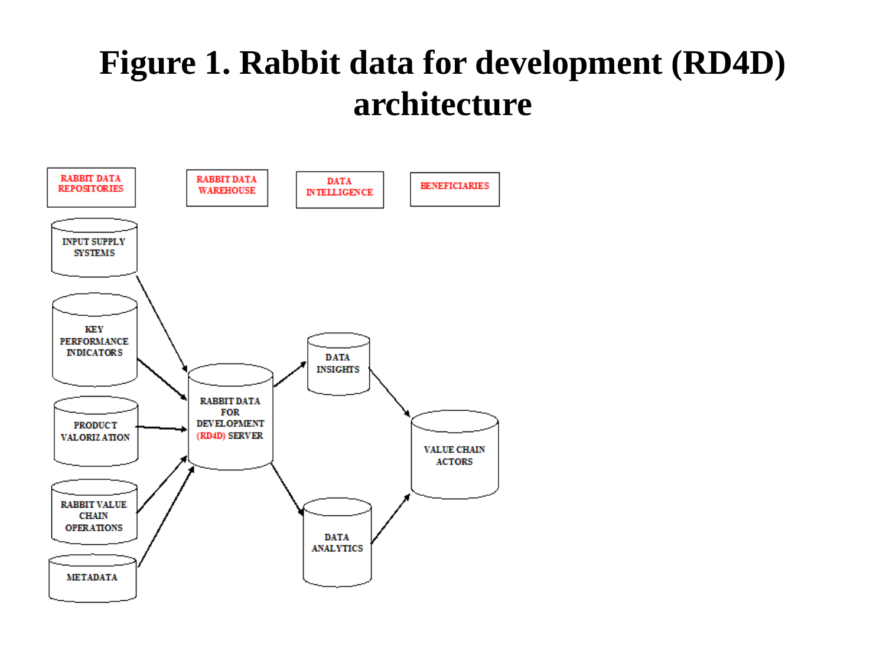#### **Figure 1. Rabbit data for development (RD4D) architecture**

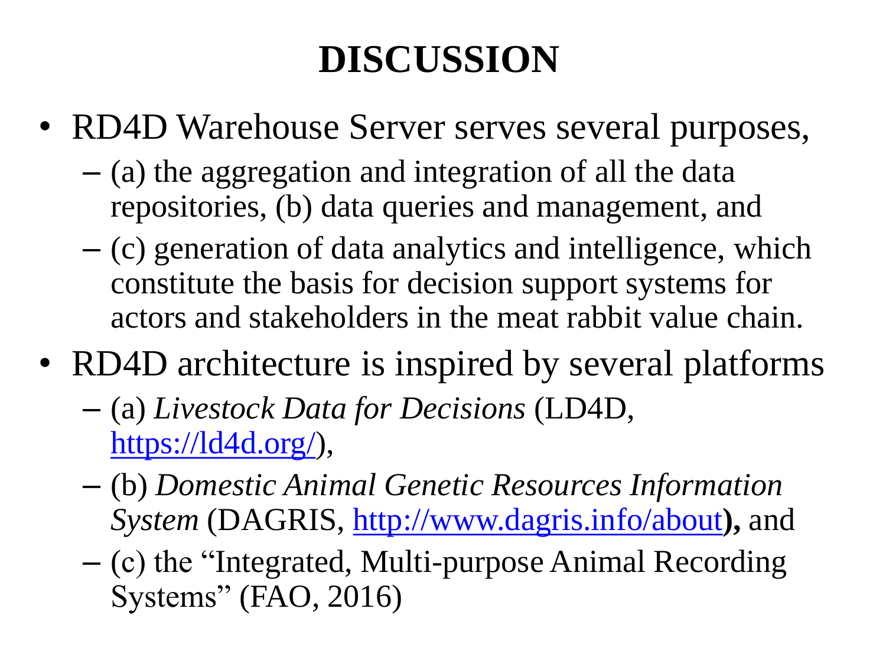## **DISCUSSION**

- RD4D Warehouse Server serves several purposes,
	- (a) the aggregation and integration of all the data repositories, (b) data queries and management, and
	- (c) generation of data analytics and intelligence, which constitute the basis for decision support systems for actors and stakeholders in the meat rabbit value chain.
- RD4D architecture is inspired by several platforms
	- (a) *Livestock Data for Decisions* (LD4D, [https://ld4d.org/\)](https://ld4d.org/),
	- (b) *Domestic Animal Genetic Resources Information System* (DAGRIS,<http://www.dagris.info/about>**),** and
	- (c) the "Integrated, Multi-purpose Animal Recording Systems" (FAO, 2016)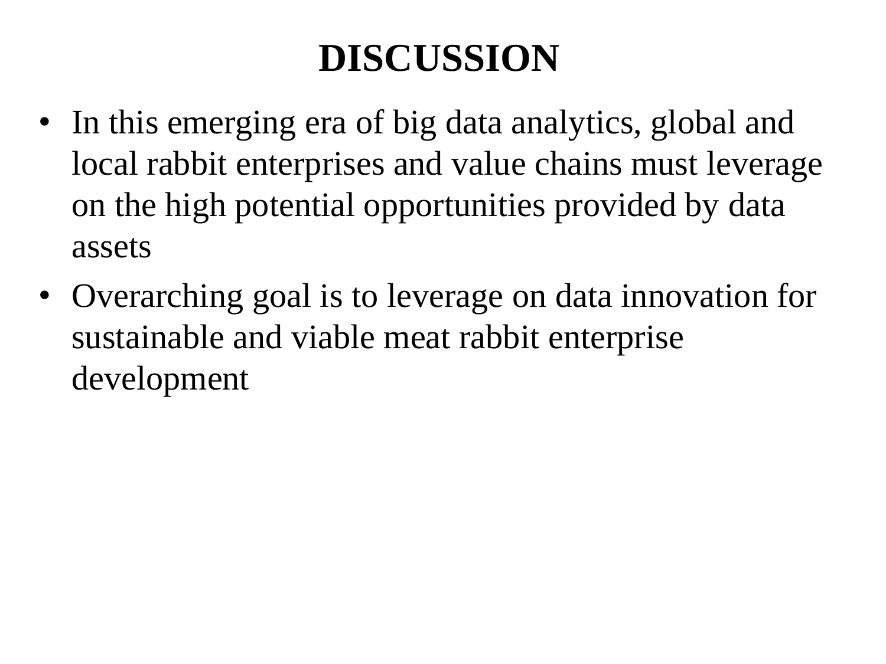### **DISCUSSION**

- In this emerging era of big data analytics, global and local rabbit enterprises and value chains must leverage on the high potential opportunities provided by data assets
- Overarching goal is to leverage on data innovation for sustainable and viable meat rabbit enterprise development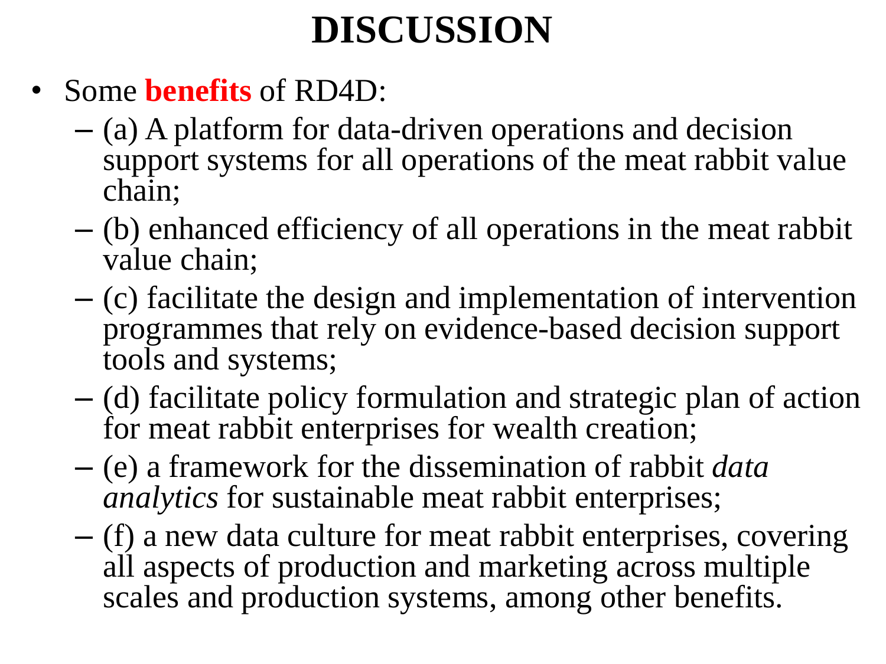#### **DISCUSSION**

- Some **benefits** of RD4D:
	- (a) A platform for data-driven operations and decision support systems for all operations of the meat rabbit value chain;
	- (b) enhanced efficiency of all operations in the meat rabbit value chain;
	- (c) facilitate the design and implementation of intervention programmes that rely on evidence-based decision support tools and systems;
	- (d) facilitate policy formulation and strategic plan of action for meat rabbit enterprises for wealth creation;
	- (e) a framework for the dissemination of rabbit *data analytics* for sustainable meat rabbit enterprises;
	- (f) a new data culture for meat rabbit enterprises, covering all aspects of production and marketing across multiple scales and production systems, among other benefits.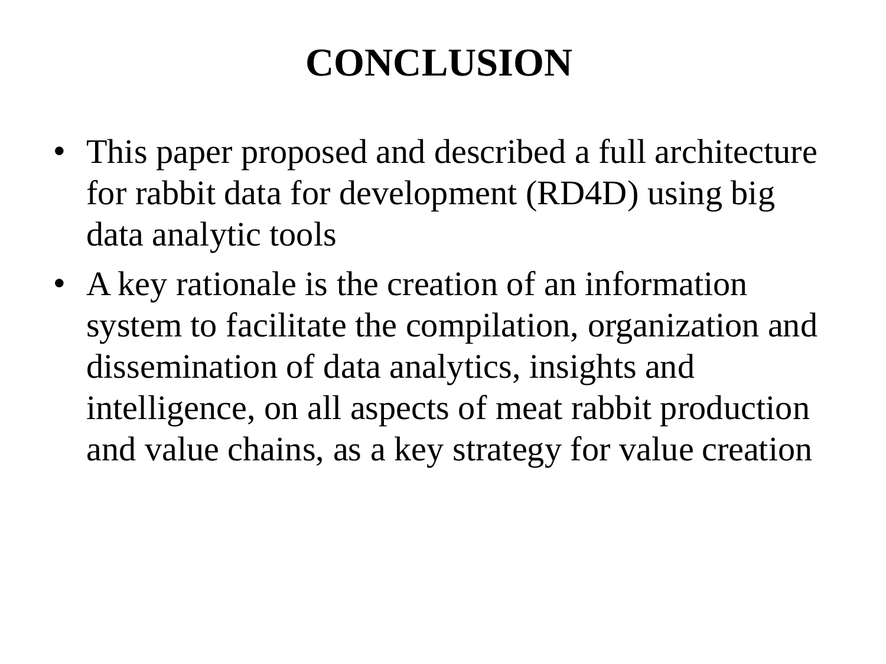### **CONCLUSION**

- This paper proposed and described a full architecture for rabbit data for development (RD4D) using big data analytic tools
- A key rationale is the creation of an information system to facilitate the compilation, organization and dissemination of data analytics, insights and intelligence, on all aspects of meat rabbit production and value chains, as a key strategy for value creation